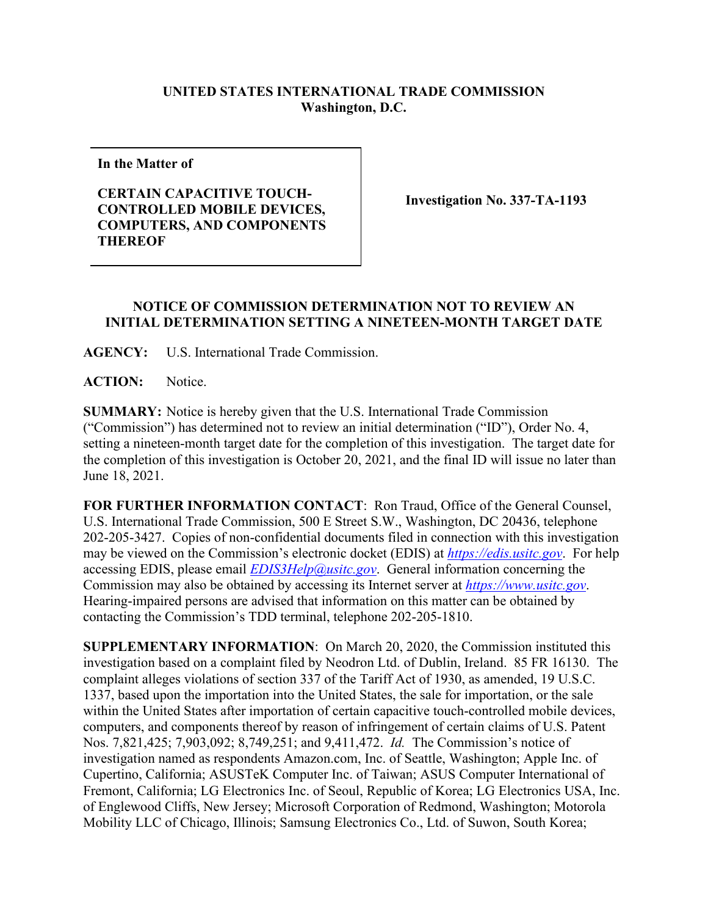## **UNITED STATES INTERNATIONAL TRADE COMMISSION Washington, D.C.**

**In the Matter of**

## **CERTAIN CAPACITIVE TOUCH-CONTROLLED MOBILE DEVICES, COMPUTERS, AND COMPONENTS THEREOF**

**Investigation No. 337-TA-1193**

## **NOTICE OF COMMISSION DETERMINATION NOT TO REVIEW AN INITIAL DETERMINATION SETTING A NINETEEN-MONTH TARGET DATE**

**AGENCY:** U.S. International Trade Commission.

ACTION: Notice.

**SUMMARY:** Notice is hereby given that the U.S. International Trade Commission ("Commission") has determined not to review an initial determination ("ID"), Order No. 4, setting a nineteen-month target date for the completion of this investigation. The target date for the completion of this investigation is October 20, 2021, and the final ID will issue no later than June 18, 2021.

**FOR FURTHER INFORMATION CONTACT**: Ron Traud, Office of the General Counsel, U.S. International Trade Commission, 500 E Street S.W., Washington, DC 20436, telephone 202-205-3427. Copies of non-confidential documents filed in connection with this investigation may be viewed on the Commission's electronic docket (EDIS) at *[https://edis.usitc.gov](https://edis.usitc.gov/)*. For help accessing EDIS, please email *[EDIS3Help@usitc.gov](mailto:EDIS3Help@usitc.gov)*. General information concerning the Commission may also be obtained by accessing its Internet server at *[https://www.usitc.gov](https://www.usitc.gov/)*. Hearing-impaired persons are advised that information on this matter can be obtained by contacting the Commission's TDD terminal, telephone 202-205-1810.

**SUPPLEMENTARY INFORMATION**: On March 20, 2020, the Commission instituted this investigation based on a complaint filed by Neodron Ltd. of Dublin, Ireland. 85 FR 16130. The complaint alleges violations of section 337 of the Tariff Act of 1930, as amended, 19 U.S.C. 1337, based upon the importation into the United States, the sale for importation, or the sale within the United States after importation of certain capacitive touch-controlled mobile devices, computers, and components thereof by reason of infringement of certain claims of U.S. Patent Nos. 7,821,425; 7,903,092; 8,749,251; and 9,411,472. *Id.* The Commission's notice of investigation named as respondents Amazon.com, Inc. of Seattle, Washington; Apple Inc. of Cupertino, California; ASUSTeK Computer Inc. of Taiwan; ASUS Computer International of Fremont, California; LG Electronics Inc. of Seoul, Republic of Korea; LG Electronics USA, Inc. of Englewood Cliffs, New Jersey; Microsoft Corporation of Redmond, Washington; Motorola Mobility LLC of Chicago, Illinois; Samsung Electronics Co., Ltd. of Suwon, South Korea;